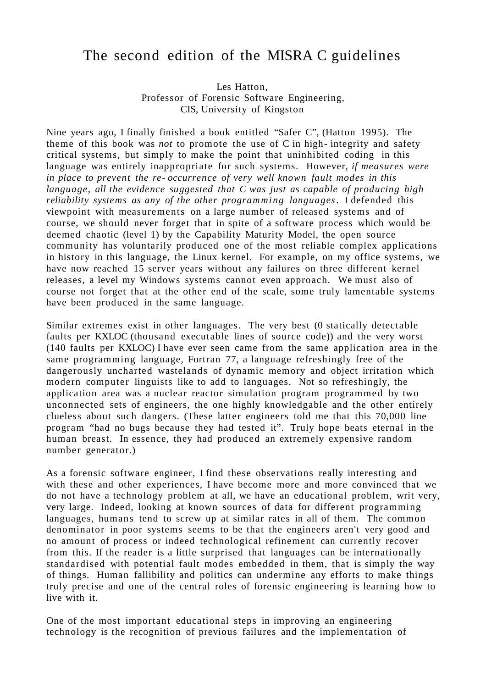## The second edition of the MISRA C guidelines

Les Hatton, Professor of Forensic Software Engineering, CIS, University of Kingston

Nine years ago, I finally finished a book entitled "Safer C", (Hatton 1995). The theme of this book was *not* to promote the use of C in high- integrity and safety critical systems, but simply to make the point that uninhibited coding in this language was entirely inappropriate for such systems. However, *if measures were in place to prevent the re- occurrence of very well known fault modes in this language, all the evidence suggested that C was just as capable of producing high reliability systems as any of the other programming languages*. I defended this viewpoint with measurements on a large number of released systems and of course, we should never forget that in spite of a software process which would be deemed chaotic (level 1) by the Capability Maturity Model, the open source community has voluntarily produced one of the most reliable complex applications in history in this language, the Linux kernel. For example, on my office systems, we have now reached 15 server years without any failures on three different kernel releases, a level my Windows systems cannot even approach. We must also of course not forget that at the other end of the scale, some truly lamentable systems have been produced in the same language.

Similar extremes exist in other languages. The very best (0 statically detectable faults per KXLOC (thousand executable lines of source code)) and the very worst (140 faults per KXLOC) I have ever seen came from the same application area in the same programming language, Fortran 77, a language refreshingly free of the dangerously uncharted wastelands of dynamic memory and object irritation which modern computer linguists like to add to languages. Not so refreshingly, the application area was a nuclear reactor simulation program programmed by two unconnected sets of engineers, the one highly knowledgable and the other entirely clueless about such dangers. (These latter engineers told me that this 70,000 line program "had no bugs because they had tested it". Truly hope beats eternal in the human breast. In essence, they had produced an extremely expensive random number generator.)

As a forensic software engineer, I find these observations really interesting and with these and other experiences, I have become more and more convinced that we do not have a technology problem at all, we have an educational problem, writ very, very large. Indeed, looking at known sources of data for different programming languages, humans tend to screw up at similar rates in all of them. The common denominator in poor systems seems to be that the engineers aren't very good and no amount of process or indeed technological refinement can currently recover from this. If the reader is a little surprised that languages can be internationally standardised with potential fault modes embedded in them, that is simply the way of things. Human fallibility and politics can undermine any efforts to make things truly precise and one of the central roles of forensic engineering is learning how to live with it.

One of the most important educational steps in improving an engineering technology is the recognition of previous failures and the implementation of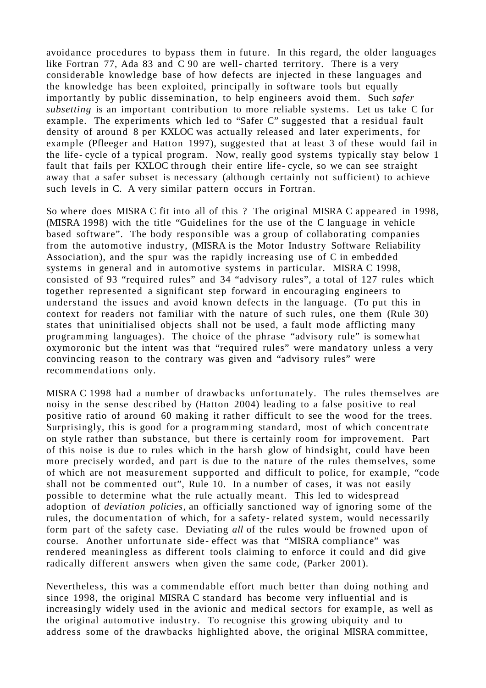avoidance procedures to bypass them in future. In this regard, the older languages like Fortran 77, Ada 83 and C 90 are well- charted territory. There is a very considerable knowledge base of how defects are injected in these languages and the knowledge has been exploited, principally in software tools but equally importantly by public dissemination, to help engineers avoid them. Such *safer subsetting* is an important contribution to more reliable systems. Let us take C for example. The experiments which led to "Safer C" suggested that a residual fault density of around 8 per KXLOC was actually released and later experiments, for example (Pfleeger and Hatton 1997), suggested that at least 3 of these would fail in the life- cycle of a typical program. Now, really good systems typically stay below 1 fault that fails per KXLOC through their entire life- cycle, so we can see straight away that a safer subset is necessary (although certainly not sufficient) to achieve such levels in C. A very similar pattern occurs in Fortran.

So where does MISRA C fit into all of this ? The original MISRA C appeared in 1998, (MISRA 1998) with the title "Guidelines for the use of the C language in vehicle based software". The body responsible was a group of collaborating companies from the automotive industry, (MISRA is the Motor Industry Software Reliability Association), and the spur was the rapidly increasing use of C in embedded systems in general and in automotive systems in particular. MISRA C 1998, consisted of 93 "required rules" and 34 "advisory rules", a total of 127 rules which together represented a significant step forward in encouraging engineers to understand the issues and avoid known defects in the language. (To put this in context for readers not familiar with the nature of such rules, one them (Rule 30) states that uninitialised objects shall not be used, a fault mode afflicting many programming languages). The choice of the phrase "advisory rule" is somewhat oxymoronic but the intent was that "required rules" were mandatory unless a very convincing reason to the contrary was given and "advisory rules" were recommendations only.

MISRA C 1998 had a number of drawbacks unfortunately. The rules themselves are noisy in the sense described by (Hatton 2004) leading to a false positive to real positive ratio of around 60 making it rather difficult to see the wood for the trees. Surprisingly, this is good for a programming standard, most of which concentrate on style rather than substance, but there is certainly room for improvement. Part of this noise is due to rules which in the harsh glow of hindsight, could have been more precisely worded, and part is due to the nature of the rules themselves, some of which are not measurement supported and difficult to police, for example, "code shall not be commented out", Rule 10. In a number of cases, it was not easily possible to determine what the rule actually meant. This led to widespread adoption of *deviation policies*, an officially sanctioned way of ignoring some of the rules, the documentation of which, for a safety- related system, would necessarily form part of the safety case. Deviating *all* of the rules would be frowned upon of course. Another unfortunate side- effect was that "MISRA compliance" was rendered meaningless as different tools claiming to enforce it could and did give radically different answers when given the same code, (Parker 2001).

Nevertheless, this was a commendable effort much better than doing nothing and since 1998, the original MISRA C standard has become very influential and is increasingly widely used in the avionic and medical sectors for example, as well as the original automotive industry. To recognise this growing ubiquity and to address some of the drawbacks highlighted above, the original MISRA committee,